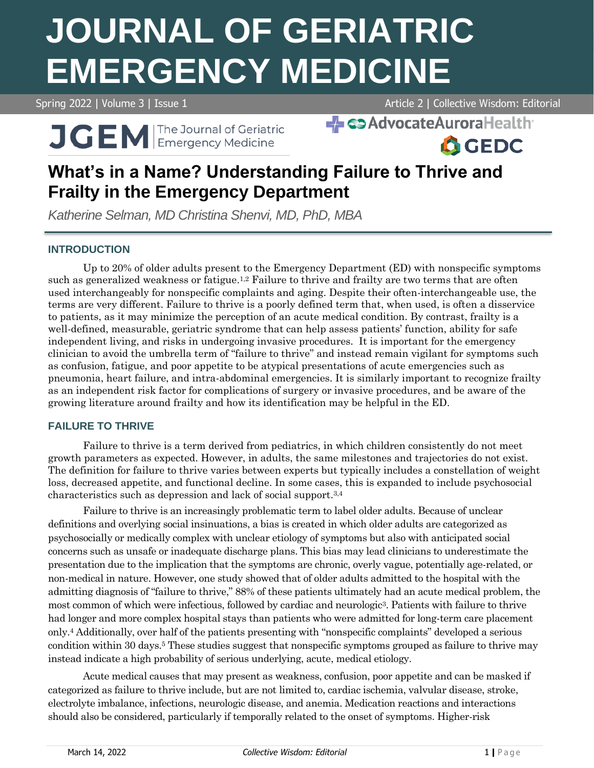# **JOURNAL OF GERIATRIC EMERGENCY MEDICINE**

Spring 2022 | Volume 3 | Issue 1 Article 2 | Collective Wisdom: Editorial

**A**GEDC

**J GEM Emergency Medicine** 

**EL COAdvocateAuroraHealth** 

# **What's in a Name? Understanding Failure to Thrive and Frailty in the Emergency Department**

*Katherine Selman, MD Christina Shenvi, MD, PhD, MBA*

# **INTRODUCTION**

Up to 20% of older adults present to the Emergency Department (ED) with nonspecific symptoms such as generalized weakness or fatigue.<sup>1,2</sup> Failure to thrive and frailty are two terms that are often used interchangeably for nonspecific complaints and aging. Despite their often-interchangeable use, the terms are very different. Failure to thrive is a poorly defined term that, when used, is often a disservice to patients, as it may minimize the perception of an acute medical condition. By contrast, frailty is a well-defined, measurable, geriatric syndrome that can help assess patients' function, ability for safe independent living, and risks in undergoing invasive procedures. It is important for the emergency clinician to avoid the umbrella term of "failure to thrive" and instead remain vigilant for symptoms such as confusion, fatigue, and poor appetite to be atypical presentations of acute emergencies such as pneumonia, heart failure, and intra-abdominal emergencies. It is similarly important to recognize frailty as an independent risk factor for complications of surgery or invasive procedures, and be aware of the growing literature around frailty and how its identification may be helpful in the ED.

# **FAILURE TO THRIVE**

Failure to thrive is a term derived from pediatrics, in which children consistently do not meet growth parameters as expected. However, in adults, the same milestones and trajectories do not exist. The definition for failure to thrive varies between experts but typically includes a constellation of weight loss, decreased appetite, and functional decline. In some cases, this is expanded to include psychosocial characteristics such as depression and lack of social support. 3,4

Failure to thrive is an increasingly problematic term to label older adults. Because of unclear definitions and overlying social insinuations, a bias is created in which older adults are categorized as psychosocially or medically complex with unclear etiology of symptoms but also with anticipated social concerns such as unsafe or inadequate discharge plans. This bias may lead clinicians to underestimate the presentation due to the implication that the symptoms are chronic, overly vague, potentially age-related, or non-medical in nature. However, one study showed that of older adults admitted to the hospital with the admitting diagnosis of "failure to thrive," 88% of these patients ultimately had an acute medical problem, the most common of which were infectious, followed by cardiac and neurologic3. Patients with failure to thrive had longer and more complex hospital stays than patients who were admitted for long-term care placement only. <sup>4</sup> Additionally, over half of the patients presenting with "nonspecific complaints" developed a serious condition within 30 days. <sup>5</sup> These studies suggest that nonspecific symptoms grouped as failure to thrive may instead indicate a high probability of serious underlying, acute, medical etiology.

Acute medical causes that may present as weakness, confusion, poor appetite and can be masked if categorized as failure to thrive include, but are not limited to, cardiac ischemia, valvular disease, stroke, electrolyte imbalance, infections, neurologic disease, and anemia. Medication reactions and interactions should also be considered, particularly if temporally related to the onset of symptoms. Higher-risk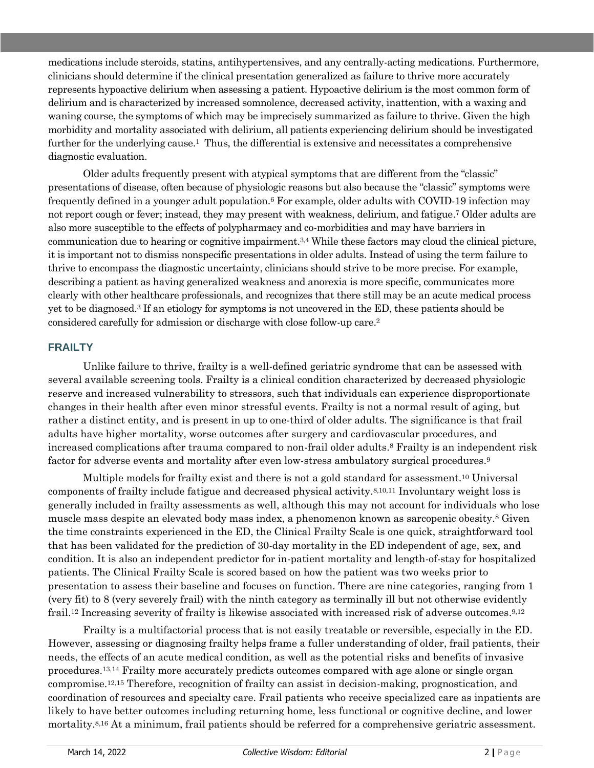medications include steroids, statins, antihypertensives, and any centrally-acting medications. Furthermore, clinicians should determine if the clinical presentation generalized as failure to thrive more accurately represents hypoactive delirium when assessing a patient. Hypoactive delirium is the most common form of delirium and is characterized by increased somnolence, decreased activity, inattention, with a waxing and waning course, the symptoms of which may be imprecisely summarized as failure to thrive. Given the high morbidity and mortality associated with delirium, all patients experiencing delirium should be investigated further for the underlying cause. <sup>1</sup> Thus, the differential is extensive and necessitates a comprehensive diagnostic evaluation.

Older adults frequently present with atypical symptoms that are different from the "classic" presentations of disease, often because of physiologic reasons but also because the "classic" symptoms were frequently defined in a younger adult population.<sup>6</sup> For example, older adults with COVID-19 infection may not report cough or fever; instead, they may present with weakness, delirium, and fatigue. <sup>7</sup> Older adults are also more susceptible to the effects of polypharmacy and co-morbidities and may have barriers in communication due to hearing or cognitive impairment. 3,4 While these factors may cloud the clinical picture, it is important not to dismiss nonspecific presentations in older adults. Instead of using the term failure to thrive to encompass the diagnostic uncertainty, clinicians should strive to be more precise. For example, describing a patient as having generalized weakness and anorexia is more specific, communicates more clearly with other healthcare professionals, and recognizes that there still may be an acute medical process yet to be diagnosed. <sup>3</sup> If an etiology for symptoms is not uncovered in the ED, these patients should be considered carefully for admission or discharge with close follow-up care. 2

#### **FRAILTY**

Unlike failure to thrive, frailty is a well-defined geriatric syndrome that can be assessed with several available screening tools. Frailty is a clinical condition characterized by decreased physiologic reserve and increased vulnerability to stressors, such that individuals can experience disproportionate changes in their health after even minor stressful events. Frailty is not a normal result of aging, but rather a distinct entity, and is present in up to one-third of older adults. The significance is that frail adults have higher mortality, worse outcomes after surgery and cardiovascular procedures, and increased complications after trauma compared to non-frail older adults. <sup>8</sup> Frailty is an independent risk factor for adverse events and mortality after even low-stress ambulatory surgical procedures.<sup>9</sup>

Multiple models for frailty exist and there is not a gold standard for assessment.<sup>10</sup> Universal components of frailty include fatigue and decreased physical activity. 8,10,11 Involuntary weight loss is generally included in frailty assessments as well, although this may not account for individuals who lose muscle mass despite an elevated body mass index, a phenomenon known as sarcopenic obesity. <sup>8</sup> Given the time constraints experienced in the ED, the Clinical Frailty Scale is one quick, straightforward tool that has been validated for the prediction of 30-day mortality in the ED independent of age, sex, and condition. It is also an independent predictor for in-patient mortality and length-of-stay for hospitalized patients. The Clinical Frailty Scale is scored based on how the patient was two weeks prior to presentation to assess their baseline and focuses on function. There are nine categories, ranging from 1 (very fit) to 8 (very severely frail) with the ninth category as terminally ill but not otherwise evidently frail.<sup>12</sup> Increasing severity of frailty is likewise associated with increased risk of adverse outcomes.<sup>9,12</sup>

Frailty is a multifactorial process that is not easily treatable or reversible, especially in the ED. However, assessing or diagnosing frailty helps frame a fuller understanding of older, frail patients, their needs, the effects of an acute medical condition, as well as the potential risks and benefits of invasive procedures. 13,14 Frailty more accurately predicts outcomes compared with age alone or single organ compromise. 12,15 Therefore, recognition of frailty can assist in decision-making, prognostication, and coordination of resources and specialty care. Frail patients who receive specialized care as inpatients are likely to have better outcomes including returning home, less functional or cognitive decline, and lower mortality.<sup>8,16</sup> At a minimum, frail patients should be referred for a comprehensive geriatric assessment.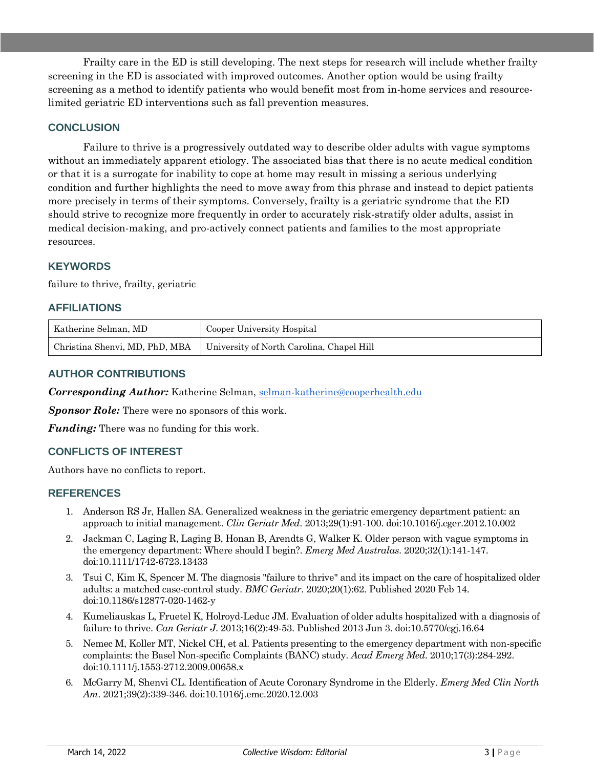Frailty care in the ED is still developing. The next steps for research will include whether frailty screening in the ED is associated with improved outcomes. Another option would be using frailty screening as a method to identify patients who would benefit most from in-home services and resourcelimited geriatric ED interventions such as fall prevention measures.

#### **CONCLUSION**

Failure to thrive is a progressively outdated way to describe older adults with vague symptoms without an immediately apparent etiology. The associated bias that there is no acute medical condition or that it is a surrogate for inability to cope at home may result in missing a serious underlying condition and further highlights the need to move away from this phrase and instead to depict patients more precisely in terms of their symptoms. Conversely, frailty is a geriatric syndrome that the ED should strive to recognize more frequently in order to accurately risk-stratify older adults, assist in medical decision-making, and pro-actively connect patients and families to the most appropriate resources.

#### **KEYWORDS**

failure to thrive, frailty, geriatric

#### **AFFILIATIONS**

| Katherine Selman, MD | Cooper University Hospital                                               |
|----------------------|--------------------------------------------------------------------------|
|                      | Christina Shenvi, MD, PhD, MBA University of North Carolina, Chapel Hill |

#### **AUTHOR CONTRIBUTIONS**

*Corresponding Author:* Katherine Selman, [selman-katherine@cooperhealth.edu](mailto:selman-katherine@cooperhealth.edu)

*Sponsor Role:* There were no sponsors of this work.

*Funding:* There was no funding for this work.

# **CONFLICTS OF INTEREST**

Authors have no conflicts to report.

#### **REFERENCES**

- 1. Anderson RS Jr, Hallen SA. Generalized weakness in the geriatric emergency department patient: an approach to initial management. *Clin Geriatr Med*. 2013;29(1):91-100. doi:10.1016/j.cger.2012.10.002
- 2. Jackman C, Laging R, Laging B, Honan B, Arendts G, Walker K. Older person with vague symptoms in the emergency department: Where should I begin?. *Emerg Med Australas*. 2020;32(1):141-147. doi:10.1111/1742-6723.13433
- 3. Tsui C, Kim K, Spencer M. The diagnosis "failure to thrive" and its impact on the care of hospitalized older adults: a matched case-control study. *BMC Geriatr*. 2020;20(1):62. Published 2020 Feb 14. doi:10.1186/s12877-020-1462-y
- 4. Kumeliauskas L, Fruetel K, Holroyd-Leduc JM. Evaluation of older adults hospitalized with a diagnosis of failure to thrive. *Can Geriatr J*. 2013;16(2):49-53. Published 2013 Jun 3. doi:10.5770/cgj.16.64
- 5. Nemec M, Koller MT, Nickel CH, et al. Patients presenting to the emergency department with non-specific complaints: the Basel Non-specific Complaints (BANC) study. *Acad Emerg Med*. 2010;17(3):284-292. doi:10.1111/j.1553-2712.2009.00658.x
- 6. McGarry M, Shenvi CL. Identification of Acute Coronary Syndrome in the Elderly. *Emerg Med Clin North Am*. 2021;39(2):339-346. doi:10.1016/j.emc.2020.12.003